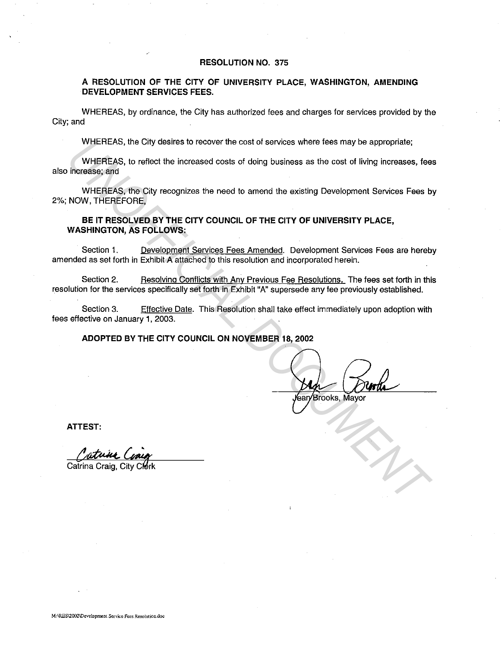#### **RESOLUTION NO.** 375

### **A RESOLUTION OF THE CITY OF UNIVERSITY PLACE, WASHINGTON, AMENDING DEVELOPMENT SERVICES FEES.**

WHEREAS, by ordinance, the City has authorized fees and charges for services provided by the City; and

WHEREAS, the City desires to recover the cost of services where fees may be appropriate;

WHEREAS, to reflect the increased costs of doing business as the cost of living increases, fees also increase; and

WHEREAS, the City recognizes the need to amend the existing Development Services Fees by 2%; NOW, THEREFORE,

**BE IT RESOLVED BY THE CITY COUNCIL OF THE CITY OF UNIVERSITY PLACE, WASHINGTON, AS FOLLOWS:** 

Section 1. Development Services Fees Amended. Development Services Fees are hereby amended as set forth in Exhibit A attached to this resolution and incorporated herein.

Section 2. Resolving Conflicts with Any Previous Fee Resolutions. The fees set forth in this resolution for the services specifically set forth in Exhibit "A" supersede any fee previously established.

Section 3. Effective Date. This Resolution shall take effect immediately upon adoption with fees effective on January 1, 2003.

**ADOPTED BY THE CITY COUNCIL ON NOVEMBER 18, 2002** 

WHEREAS, the City destres to recover the cost of sorvices where fees may be appropriate;<br>
WHEREAS, to reflect the increased costs of doing business as the cost of living increases, fee<br>
Increases, and<br>
WHEREAS, the City re

**ATTEST:**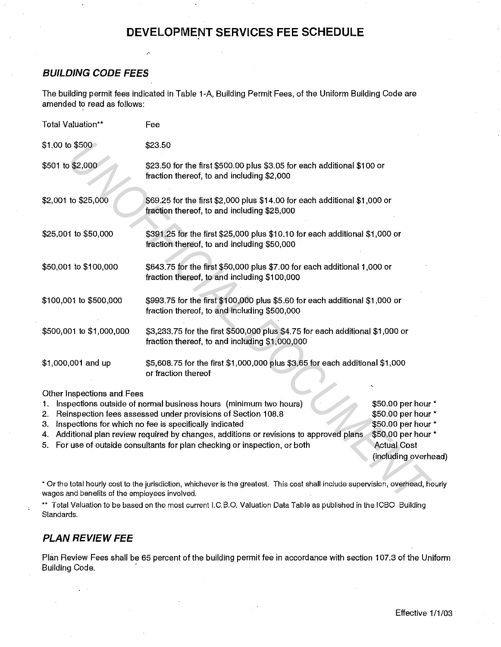# **DEVELOPMENT SERVICES FEE SCHEDULE**

## **BUILDING CODE FEES**

The building permit fees indicated in Table 1-A, Building Permit Fees, of the Uniform Building Code are amended to read as follows:

| Total Valuation**                                  | Fee                                                                                                                                                                                                                                                                                                                                                              |                                                                                                                                  |  |
|----------------------------------------------------|------------------------------------------------------------------------------------------------------------------------------------------------------------------------------------------------------------------------------------------------------------------------------------------------------------------------------------------------------------------|----------------------------------------------------------------------------------------------------------------------------------|--|
| \$1.00 to \$500                                    | \$23.50                                                                                                                                                                                                                                                                                                                                                          |                                                                                                                                  |  |
| \$501 to \$2,000                                   | \$23.50 for the first \$500.00 plus \$3.05 for each additional \$100 or<br>fraction thereof, to and including \$2,000                                                                                                                                                                                                                                            |                                                                                                                                  |  |
| \$2,001 to \$25,000                                | \$69.25 for the first \$2,000 plus \$14.00 for each additional \$1,000 or<br>fraction thereof, to and including \$25,000                                                                                                                                                                                                                                         |                                                                                                                                  |  |
| \$25,001 to \$50,000                               | \$391.25 for the first \$25,000 plus \$10.10 for each additional \$1,000 or<br>fraction thereof, to and including \$50,000                                                                                                                                                                                                                                       |                                                                                                                                  |  |
| \$50,001 to \$100,000                              | \$643.75 for the first \$50,000 plus \$7.00 for each additional 1,000 or<br>fraction thereof, to and including \$100,000                                                                                                                                                                                                                                         |                                                                                                                                  |  |
| \$100,001 to \$500,000                             | \$993.75 for the first \$100,000 plus \$5.60 for each additional \$1,000 or<br>fraction thereof, to and including \$500,000                                                                                                                                                                                                                                      |                                                                                                                                  |  |
| \$500,001 to \$1,000,000                           | \$3,233.75 for the first \$500,000 plus \$4.75 for each additional \$1,000 or<br>fraction thereof, to and including \$1,000,000                                                                                                                                                                                                                                  |                                                                                                                                  |  |
| \$1,000,001 and up                                 | \$5,608.75 for the first \$1,000,000 plus \$3.65 for each additional \$1,000<br>or fraction thereof                                                                                                                                                                                                                                                              |                                                                                                                                  |  |
| Other Inspections and Fees<br>1.<br>2.<br>3.<br>4. | Inspections outside of normal business hours (minimum two hours)<br>Reinspection fees assessed under provisions of Section 108.8<br>Inspections for which no fee is specifically indicated<br>Additional plan review required by changes, additions or revisions to approved plans<br>5. For use of outside consultants for plan checking or inspection, or both | \$50.00 per hour *<br>\$50.00 per hour *<br>\$50.00 per hour *<br>\$50.00 per hour *<br><b>Actual Cost</b><br>(including overhea |  |
| wages and benefits of the employees involved.      | * Or the total hourly cost to the jurisdiction, whichever is the greatest. This cost shall include supervision, overhead, hou                                                                                                                                                                                                                                    |                                                                                                                                  |  |
|                                                    | ** Tatal Voluntian ta ba baasal su tha maat awwest LODO. Velustian Data Table ee publishad in tha IODO. Duilding                                                                                                                                                                                                                                                 |                                                                                                                                  |  |

- 4. Additional plan review required by changes, additions or revisions to approved plans
- 5. For use of outside consultants for plan checking or inspection, or both

\$50.00 per hour \* Actual Cost (including overhead)

\*\* Total Valuation to be based on the most current I.C.B.O. Valuation Data Table as published in the ICBO Building Standards.

# **PLAN REVIEW FEE**

Plan Review Fees shall be 65 percent of the building permit fee in accordance with section 107.3 of the Uniform **Building Code.**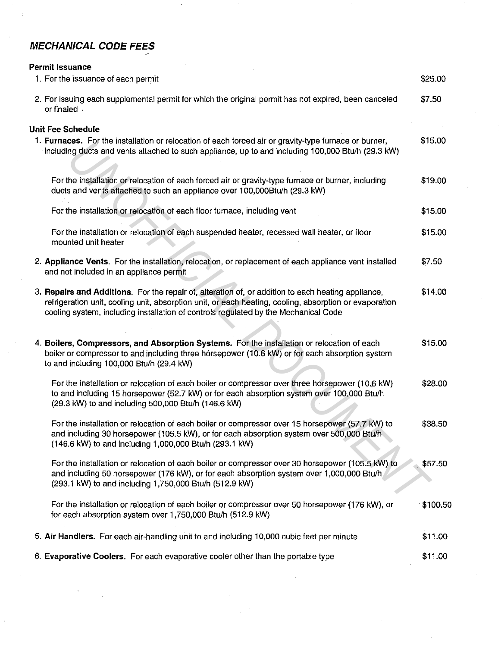# **MECHANICAL CODE FEES**

### **Permit Issuance**  1. For the issuance of each permit 2. For issuing each supplemental permit for which the original permit has not expired, been canceled or finaled . **Unit Fee Schedule 1. Furnaces.** For the installation or relocation of each forced air or gravity-type furnace or burner, including ducts and vents attached to such appliance, up to and including 100,000 Btu/h (29.3 kW) For the installation or relocation of each forced air or gravity-type furnace or burner, including ducts and vents attached to such an appliance over 100,000Btu/h (29.3 kW) For the installation or relocation of each floor furnace, including vent For the installation or relocation of each suspended heater, recessed wall heater, or floor mounted unit heater 2. **Appliance Vents.** For the installation, relocation, or replacement of each appliance vent installed and not included in an appliance permit 3. **Repairs and Additions.** For the repair of, alteration of, or addition to each heating appliance, refrigeration unit, cooling unit, absorption unit, or each heating, cooling, absorption or evaporation cooling system, including installation of controls regulated by the Mechanical Code **4. Boilers, Compressors, and Absorption Systems.** For the installation or relocation of each boiler or compressor to and including three horsepower (10.6 kW) or for each absorption system to and including 100,000 Btu/h (29.4 kW) For the installation or relocation of each boiler or compressor over three horsepower (10,6 kW) to and including 15 horsepower (52.7 kW) or for each absorption system over 100,000 Btu/h (29.3 kW) to and including 500,000 Btu/h (146.6 kW) For the installation or relocation of each boiler or compressor over 15 horsepower (57.7 kW) to and including 30 horsepower (105.5 kW), or for each absorption system over 500,000 Btu/h (146.6 kW) to and including 1,000,000 Btu/h (293.1 kW) For the installation or relocation of each boiler or compressor over 30 horsepower (105.5 kW) to and including 50 horsepower (176 kW), or for each absorption system over 1,000,000 Btu/h (293.1 kW) to and including 1,750,000 Btu/h (512.9 kW) For the installation or relocation of each boiler or compressor over 50 horsepower (176 kW), or for each absorption system over 1,750,000 Btu/h (512.9 kW) 5. **Air Handlers.** For each air-handling unit to and including 10,000 cubic feet per minute 6. **Evaporative Coolers.** For each evaporative cooler other than the portable type \$25.00 \$7.50 \$15.00 \$19.00 \$15.00 \$15.00 \$7.50 \$14.00 \$15.00 \$28.00 \$38.50 \$57.50 \$100.50 \$11.00 \$11.00 **East** For the Installation of relactation of each force of gravity-type furtace or burner, including 100,000 Bluh (28.3 kW)<br>**the installation or relocation of each forced air or gravity-type furtaces or burner, including<br>**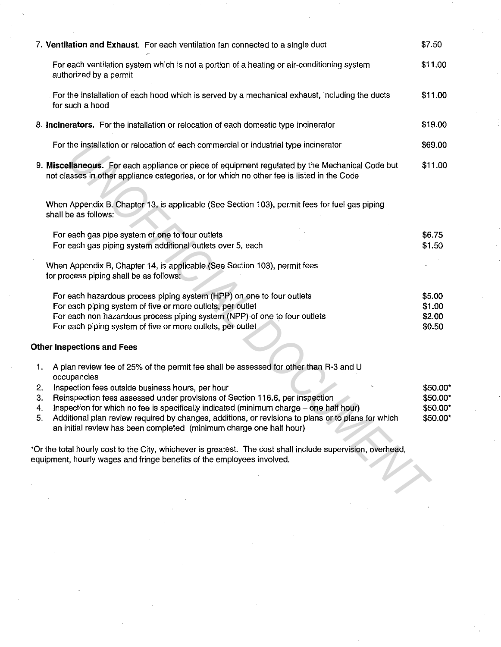| 7. Ventilation and Exhaust. For each ventilation fan connected to a single duct                                                                                                                                                                                                                                                                                                                                                                                                                                                                                                                                                                                                                                                        | \$7.50                                       |
|----------------------------------------------------------------------------------------------------------------------------------------------------------------------------------------------------------------------------------------------------------------------------------------------------------------------------------------------------------------------------------------------------------------------------------------------------------------------------------------------------------------------------------------------------------------------------------------------------------------------------------------------------------------------------------------------------------------------------------------|----------------------------------------------|
| For each ventilation system which is not a portion of a heating or air-conditioning system<br>authorized by a permit                                                                                                                                                                                                                                                                                                                                                                                                                                                                                                                                                                                                                   | \$11.00                                      |
| For the installation of each hood which is served by a mechanical exhaust, including the ducts<br>for such a hood                                                                                                                                                                                                                                                                                                                                                                                                                                                                                                                                                                                                                      | \$11.00                                      |
| 8. Incinerators. For the installation or relocation of each domestic type incinerator                                                                                                                                                                                                                                                                                                                                                                                                                                                                                                                                                                                                                                                  | \$19.00                                      |
| For the installation or relocation of each commercial or industrial type incinerator                                                                                                                                                                                                                                                                                                                                                                                                                                                                                                                                                                                                                                                   | \$69.00                                      |
| 9. Miscellaneous. For each appliance or piece of equipment regulated by the Mechanical Code but<br>not classes in other appliance categories, or for which no other fee is listed in the Code                                                                                                                                                                                                                                                                                                                                                                                                                                                                                                                                          | \$11.00                                      |
| When Appendix B. Chapter 13, is applicable (See Section 103), permit fees for fuel gas piping<br>shall be as follows:                                                                                                                                                                                                                                                                                                                                                                                                                                                                                                                                                                                                                  |                                              |
| For each gas pipe system of one to four outlets<br>For each gas piping system additional outlets over 5, each                                                                                                                                                                                                                                                                                                                                                                                                                                                                                                                                                                                                                          | \$6.75<br>\$1.50                             |
| When Appendix B, Chapter 14, is applicable (See Section 103), permit fees<br>for process piping shall be as follows:                                                                                                                                                                                                                                                                                                                                                                                                                                                                                                                                                                                                                   |                                              |
| For each hazardous process piping system (HPP) on one to four outlets<br>For each piping system of five or more outlets, per outlet<br>For each non hazardous process piping system (NPP) of one to four outlets<br>For each piping system of five or more outlets, per outlet                                                                                                                                                                                                                                                                                                                                                                                                                                                         | \$5.00<br>\$1.00<br>\$2.00<br>\$0.50         |
| <b>Other Inspections and Fees</b>                                                                                                                                                                                                                                                                                                                                                                                                                                                                                                                                                                                                                                                                                                      |                                              |
| A plan review fee of 25% of the permit fee shall be assessed for other than R-3 and U<br>1.<br>occupancies<br>Inspection fees outside business hours, per hour<br>2.<br>3.<br>Reinspection fees assessed under provisions of Section 116.6, per inspection<br>Inspection for which no fee is specifically indicated (minimum charge - one half hour)<br>4.<br>Additional plan review required by changes, additions, or revisions to plans or to plans for which<br>5.<br>an initial review has been completed (minimum charge one half hour)<br>*Or the total hourly cost to the City, whichever is greatest. The cost shall include supervision, overhead,<br>equipment, hourly wages and fringe benefits of the employees involved. | \$50.00*<br>\$50.00*<br>\$50.00*<br>\$50.00* |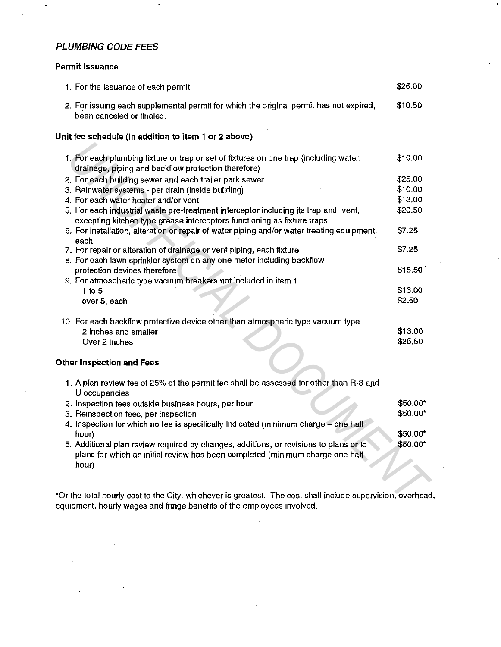## **PLUMBING CODE FEES**

## **Permit Issuance**

| 1. For the issuance of each permit                                                                                                                                                                                           | \$25.00  |
|------------------------------------------------------------------------------------------------------------------------------------------------------------------------------------------------------------------------------|----------|
| 2. For issuing each supplemental permit for which the original permit has not expired,<br>been canceled or finaled.                                                                                                          | \$10.50  |
| Unit fee schedule (In addition to item 1 or 2 above)                                                                                                                                                                         |          |
| 1. For each plumbing fixture or trap or set of fixtures on one trap (including water,<br>drainage, piping and backflow protection therefore)                                                                                 | \$10.00  |
| 2. For each building sewer and each trailer park sewer                                                                                                                                                                       | \$25.00  |
| 3. Rainwater systems - per drain (inside building)                                                                                                                                                                           | \$10.00  |
| 4. For each water heater and/or vent                                                                                                                                                                                         | \$13.00  |
| 5. For each industrial waste pre-treatment interceptor including its trap and vent,<br>excepting kitchen type grease interceptors functioning as fixture traps                                                               | \$20.50  |
| 6. For installation, alteration or repair of water piping and/or water treating equipment,<br>each                                                                                                                           | \$7.25   |
| 7. For repair or alteration of drainage or vent piping, each fixture                                                                                                                                                         | \$7.25   |
| 8. For each lawn sprinkler system on any one meter including backflow                                                                                                                                                        |          |
| protection devices therefore                                                                                                                                                                                                 | \$15.50  |
| 9. For atmospheric type vacuum breakers not included in item 1                                                                                                                                                               |          |
| $1$ to 5                                                                                                                                                                                                                     | \$13.00  |
| over 5, each                                                                                                                                                                                                                 | \$2.50   |
| 10. For each backflow protective device other than atmospheric type vacuum type                                                                                                                                              |          |
| 2 inches and smaller                                                                                                                                                                                                         | \$13.00  |
| Over 2 inches                                                                                                                                                                                                                | \$25.50  |
|                                                                                                                                                                                                                              |          |
| <b>Other Inspection and Fees</b>                                                                                                                                                                                             |          |
| 1. A plan review fee of 25% of the permit fee shall be assessed for other than R-3 and<br>U occupancies                                                                                                                      |          |
| 2. Inspection fees outside business hours, per hour                                                                                                                                                                          | \$50.00* |
| 3. Reinspection fees, per inspection                                                                                                                                                                                         | \$50.00* |
| 4. Inspection for which no fee is specifically indicated (minimum charge - one half<br>hour)                                                                                                                                 | \$50.00* |
| 5. Additional plan review required by changes, additions, or revisions to plans or to<br>plans for which an initial review has been completed (minimum charge one half<br>hour)                                              | \$50.00* |
| *Or the total hourly cost to the City, whichever is greatest. The cost shall include supervision, overhead<br>and the contract and the contract of the contract and a second contract of the contract of the contract of the |          |

\*Or the total hourly cost to the City, whichever is greatest. The cost shall include supervision, overhead, equipment, hourly wages and fringe benefits of the employees involved.

 $\bar{\mathcal{A}}$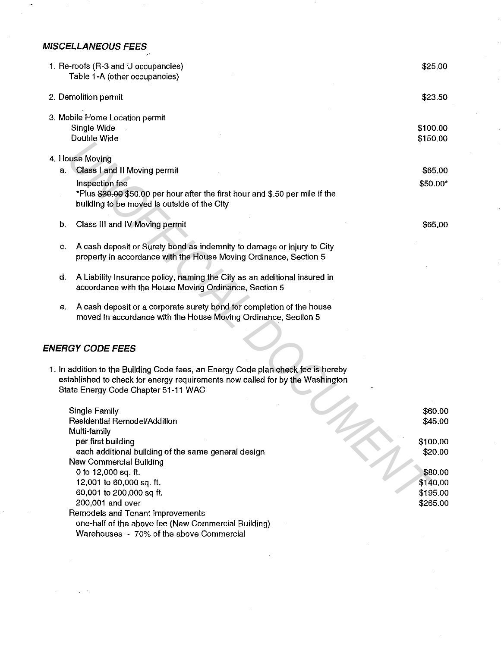# **MISCELLANEOUS FEES**

|    | 1. Re-roofs (R-3 and U occupancies)<br>Table 1-A (other occupancies)                                                                                                                                      | \$25.00              |
|----|-----------------------------------------------------------------------------------------------------------------------------------------------------------------------------------------------------------|----------------------|
|    | 2. Demolition permit                                                                                                                                                                                      | \$23.50              |
|    | 3. Mobile Home Location permit<br>Single Wide<br>Double Wide                                                                                                                                              | \$100.00<br>\$150.00 |
|    | 4. House Moving                                                                                                                                                                                           |                      |
| а. | Class I and II Moving permit                                                                                                                                                                              | \$65.00              |
|    | Inspection fee<br>*Plus \$30.00 \$50.00 per hour after the first hour and \$.50 per mile if the<br>building to be moved is outside of the City                                                            | \$50.00*             |
| b. | Class III and IV Moving permit                                                                                                                                                                            | \$65,00              |
| c. | A cash deposit or Surety bond as indemnity to damage or injury to City<br>property in accordance with the House Moving Ordinance, Section 5                                                               |                      |
| d. | A Liability Insurance policy, naming the City as an additional insured in<br>accordance with the House Moving Ordinance, Section 5                                                                        |                      |
| е. | A cash deposit or a corporate surety bond for completion of the house<br>moved in accordance with the House Moving Ordinance, Section 5                                                                   |                      |
|    | ENERGY CODE FEES                                                                                                                                                                                          |                      |
|    | 1. In addition to the Building Code fees, an Energy Code plan check fee is hereby<br>established to check for energy requirements now called for by the Washington<br>State Energy Code Chapter 51-11 WAC |                      |
|    | Single Family                                                                                                                                                                                             | \$60.00              |
|    | Residential Remodel/Addition                                                                                                                                                                              | \$45.00              |
|    | Multi-family                                                                                                                                                                                              |                      |
|    | per first building                                                                                                                                                                                        | \$100.00             |
|    | each additional building of the same general design                                                                                                                                                       | \$20.00              |
|    | New Commercial Building                                                                                                                                                                                   |                      |
|    | 0 to 12,000 sq. ft.                                                                                                                                                                                       | \$80.00              |
|    | 12,001 to 60,000 sq. ft.                                                                                                                                                                                  | \$140.00             |
|    | 60,001 to 200,000 sq ft.                                                                                                                                                                                  | \$195.00             |
|    | 200,001 and over                                                                                                                                                                                          | \$265.00             |
|    | Remodels and Tenant Improvements<br>one-half of the above fee (New Commercial Building)                                                                                                                   |                      |
|    | Warehouses - 70% of the above Commercial                                                                                                                                                                  |                      |
|    |                                                                                                                                                                                                           |                      |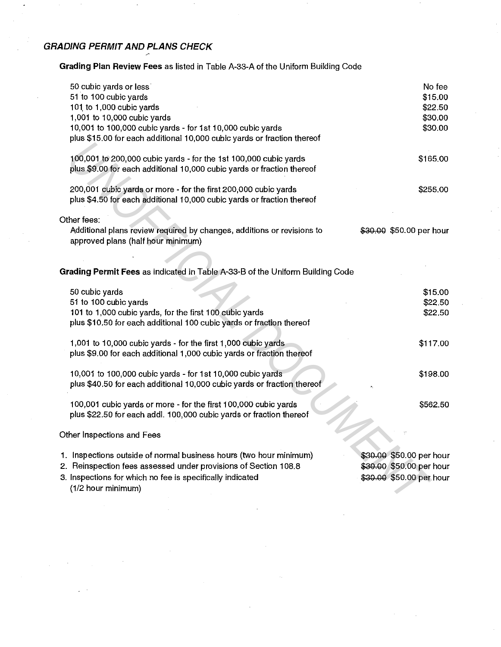# **GRADING PERMIT AND PLANS CHECK**

**Grading Plan Review Fees** as listed in Table A-33-A of the Uniform Building Code

| 50 cubic yards or less<br>51 to 100 cubic yards<br>101 to 1,000 cubic yards<br>1,001 to 10,000 cubic yards<br>10,001 to 100,000 cubic yards - for 1st 10,000 cubic yards<br>plus \$15.00 for each additional 10,000 cubic yards or fraction thereof | No fee<br>\$15.00<br>\$22.50<br>\$30.00<br>\$30.00                               |
|-----------------------------------------------------------------------------------------------------------------------------------------------------------------------------------------------------------------------------------------------------|----------------------------------------------------------------------------------|
| 100,001 to 200,000 cubic yards - for the 1st 100,000 cubic yards<br>plus \$9.00 for each additional 10,000 cubic yards or fraction thereof                                                                                                          | \$165.00                                                                         |
| 200,001 cubic yards or more - for the first 200,000 cubic yards<br>plus \$4.50 for each additional 10,000 cubic yards or fraction thereof                                                                                                           | \$255.00                                                                         |
| Other fees:<br>Additional plans review required by changes, additions or revisions to<br>approved plans (half hour minimum)                                                                                                                         | \$30.00 \$50.00 per hour                                                         |
| Grading Permit Fees as indicated in Table A-33-B of the Uniform Building Code                                                                                                                                                                       |                                                                                  |
| 50 cubic yards<br>51 to 100 cubic yards<br>101 to 1,000 cubic yards, for the first 100 cubic yards<br>plus \$10.50 for each additional 100 cubic yards or fraction thereof                                                                          | \$15.00<br>\$22.50<br>\$22.50                                                    |
| 1,001 to 10,000 cubic yards - for the first 1,000 cubic yards<br>plus \$9.00 for each additional 1,000 cubic yards or fraction thereof                                                                                                              | \$117.00                                                                         |
| 10,001 to 100,000 cubic yards - for 1st 10,000 cubic yards<br>plus \$40.50 for each additional 10,000 cubic yards or fraction thereof                                                                                                               | \$198.00                                                                         |
| 100,001 cubic yards or more - for the first 100,000 cubic yards<br>plus \$22.50 for each addl. 100,000 cubic yards or fraction thereof                                                                                                              | \$562.50                                                                         |
| Other Inspections and Fees                                                                                                                                                                                                                          |                                                                                  |
| 1. Inspections outside of normal business hours (two hour minimum)<br>2. Reinspection fees assessed under provisions of Section 108.8<br>3. Inspections for which no fee is specifically indicated<br>(1/2 hour minimum)                            | \$30.00 \$50.00 per hour<br>\$30.00 \$50.00 per hour<br>\$30.00 \$50.00 per hour |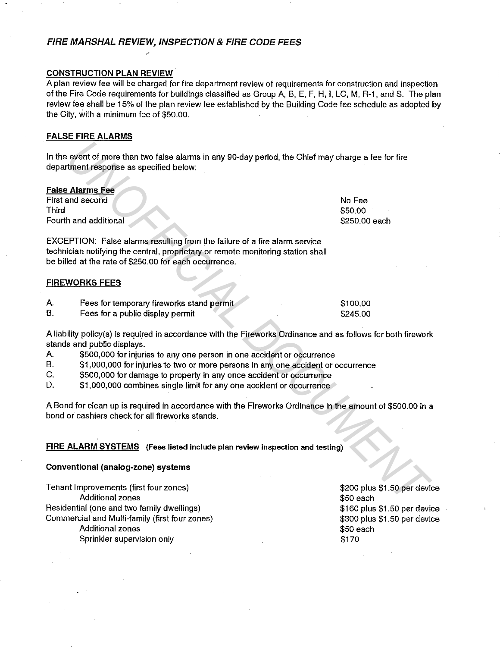### **FIRE MARSHAL REVIEW, INSPECTION & FIRE CODE FEES**

#### **CONSTRUCTION PLAN REVIEW**

A plan review fee will be charged for fire department review of requirements for construction and inspection of the Fire Code requirements for buildings classified as Group A, B, E, F, H, I, LC, M, R-1, and S. The plan review fee shall be 15% of the plan review fee established by the Building Code fee schedule as adopted by the City, with a minimum fee of \$50.00.

### **FALSE FIRE ALARMS**

|       | In the event of more than two false alarms in any 90-day period, the Chief may charge a fee for fire<br>department response as specified below:               |                            |
|-------|---------------------------------------------------------------------------------------------------------------------------------------------------------------|----------------------------|
|       |                                                                                                                                                               |                            |
|       | <b>False Alarms Fee</b>                                                                                                                                       |                            |
|       | First and second                                                                                                                                              | No Fee                     |
| Third |                                                                                                                                                               | \$50.00                    |
|       | Fourth and additional                                                                                                                                         | \$250.00 each              |
|       |                                                                                                                                                               |                            |
|       | EXCEPTION: False alarms resulting from the failure of a fire alarm service                                                                                    |                            |
|       | technician notifying the central, proprietary or remote monitoring station shall                                                                              |                            |
|       | be billed at the rate of \$250.00 for each occurrence.                                                                                                        |                            |
|       |                                                                                                                                                               |                            |
|       | <u>FIREWORKS FEES</u>                                                                                                                                         |                            |
| Α.    | Fees for temporary fireworks stand permit                                                                                                                     | \$100.00                   |
| В.    | Fees for a public display permit                                                                                                                              | \$245.00                   |
|       |                                                                                                                                                               |                            |
|       | A liability policy(s) is required in accordance with the Fireworks Ordinance and as follows for both firework                                                 |                            |
|       | stands and public displays.                                                                                                                                   |                            |
| A.    | \$500,000 for injuries to any one person in one accident or occurrence                                                                                        |                            |
| В.    | \$1,000,000 for injuries to two or more persons in any one accident or occurrence                                                                             |                            |
| C.    | \$500,000 for damage to property in any once accident or occurrence                                                                                           |                            |
| D.    | \$1,000,000 combines single limit for any one accident or occurrence                                                                                          |                            |
|       |                                                                                                                                                               |                            |
|       | A Bond for clean up is required in accordance with the Fireworks Ordinance in the amount of \$500.00 in a<br>bond or cashiers check for all fireworks stands. |                            |
|       |                                                                                                                                                               |                            |
|       |                                                                                                                                                               |                            |
|       | FIRE ALARM SYSTEMS (Fees listed include plan review inspection and testing)                                                                                   |                            |
|       |                                                                                                                                                               |                            |
|       | Conventional (analog-zone) systems                                                                                                                            |                            |
|       | Tenant Improvements (first four zones)                                                                                                                        | \$200 plus \$1.50 per devi |
|       | <b>Additional zones</b>                                                                                                                                       | \$50 each                  |
|       |                                                                                                                                                               |                            |

#### **FIREWORKS FEES**

- A. Fees for temporary fireworks stand permit
- B. Fees for a public display permit

- A. \$500,000 for injuries to any one person in one accident or occurrence
- B. \$1,000,000 for injuries to two or more persons in any one accident or occurrence
- C. \$500,000 for damage to property in any once accident or occurrence
- D. \$1,000,000 combines single limit for any one accident or occurrence

#### **FIRE ALARM SYSTEMS** (Fees listed include plan review inspection and testing)

#### **Conventional (analog-zone) systems**

Tenant Improvements (first four zones) Additional zones Residential (one and two family dwellings) Commercial and Multi-family (first four zones) Additional zones Sprinkler supervision only

\$200 plus \$1.50 per device \$50 each \$160 plus \$1.50 per device \$300 plus \$1.50 per device \$50 each \$170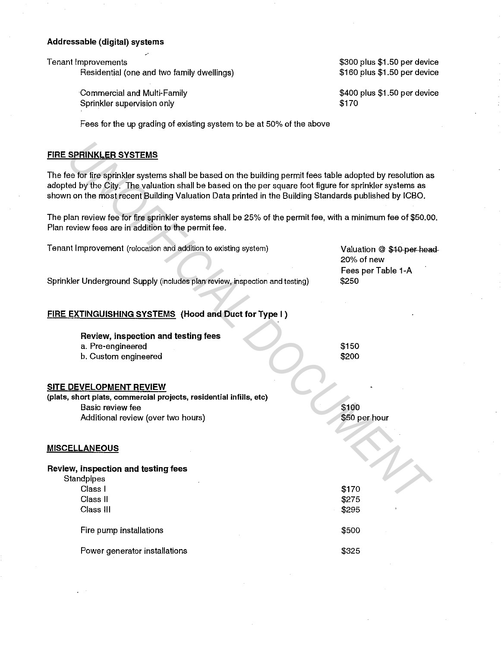#### Addressable (digital) systems

Tenant Improvements

Residential (one and two family dwellings)

\$300 plus \$1.50 per device \$160 plus \$1.50 per device

\$400 plus \$1.50 per device

\$170

Commercial and Multi-Family Sprinkler supervision only

Fees for the up grading of existing system to be at 50% of the above

### FIRE SPRINKLER SYSTEMS

| <b>FIRE SPRINKLER SYSTEMS</b>                                                                                                                                                                                                                                                                                                     |                                          |
|-----------------------------------------------------------------------------------------------------------------------------------------------------------------------------------------------------------------------------------------------------------------------------------------------------------------------------------|------------------------------------------|
| The fee for fire sprinkler systems shall be based on the building permit fees table adopted by resolution as<br>adopted by the City. The valuation shall be based on the per square foot figure for sprinkler systems as<br>shown on the most recent Building Valuation Data printed in the Building Standards published by ICBO. |                                          |
| The plan review fee for fire sprinkler systems shall be 25% of the permit fee, with a minimum fee of \$50.00.<br>Plan review fees are in addition to the permit fee.                                                                                                                                                              |                                          |
| Tenant Improvement (relocation and addition to existing system)                                                                                                                                                                                                                                                                   | Valuation @ \$10 per head-<br>20% of new |
| Sprinkler Underground Supply (includes plan review, inspection and testing)                                                                                                                                                                                                                                                       | Fees per Table 1-A<br>\$250              |
| FIRE EXTINGUISHING SYSTEMS (Hood and Duct for Type I)                                                                                                                                                                                                                                                                             |                                          |
| Review, inspection and testing fees                                                                                                                                                                                                                                                                                               |                                          |
| a. Pre-engineered                                                                                                                                                                                                                                                                                                                 | \$150                                    |
| b. Custom engineered                                                                                                                                                                                                                                                                                                              | \$200                                    |
| <b>SITE DEVELOPMENT REVIEW</b>                                                                                                                                                                                                                                                                                                    |                                          |
| (plats, short plats, commercial projects, residential infills, etc)                                                                                                                                                                                                                                                               | \$100                                    |
| Basic review fee                                                                                                                                                                                                                                                                                                                  | \$50 per hour                            |
| Additional review (over two hours)                                                                                                                                                                                                                                                                                                |                                          |
| <b>MISCELLANEOUS</b>                                                                                                                                                                                                                                                                                                              |                                          |
| Review, inspection and testing fees<br>Standpipes                                                                                                                                                                                                                                                                                 |                                          |
| Class I                                                                                                                                                                                                                                                                                                                           | \$170                                    |
| Class II                                                                                                                                                                                                                                                                                                                          | \$275                                    |
| Class III                                                                                                                                                                                                                                                                                                                         | \$295                                    |
| Fire pump installations                                                                                                                                                                                                                                                                                                           | \$500                                    |
| Power generator installations                                                                                                                                                                                                                                                                                                     | \$325                                    |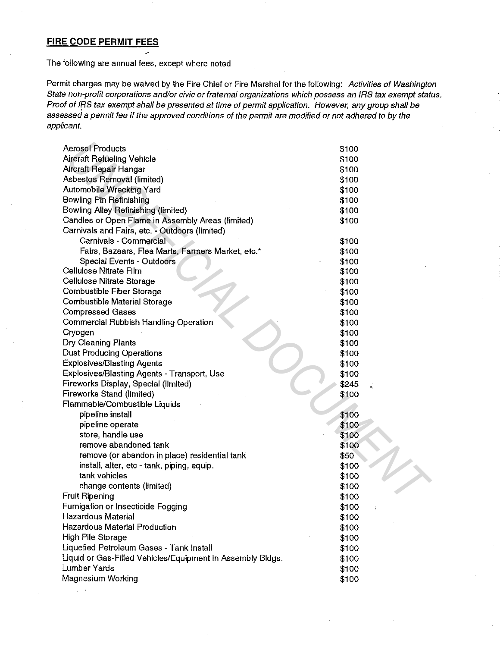## **FIRE CODE PERMIT FEES**

The following are annual fees, except where noted

Permit charges may be waived by the Fire Chief or Fire Marshal for the following: Activities of Washington State non-profit corporations and/or civic or fraternal organizations which possess an IRS tax exempt status. Proof of IRS tax exempt shall be presented at time of permit application. However, any group shall be assessed a permit fee if the approved conditions of the permit are modified or not adhered to by the applicant.

| <b>Aerosol Products</b>                                    | \$100 |
|------------------------------------------------------------|-------|
| <b>Aircraft Refueling Vehicle</b>                          | \$100 |
| Aircraft Repair Hangar                                     | \$100 |
| Asbestos Removal (limited)                                 | \$100 |
| <b>Automobile Wrecking Yard</b>                            | \$100 |
| Bowling Pin Refinishing                                    | \$100 |
| <b>Bowling Alley Refinishing (limited)</b>                 | \$100 |
| Candles or Open Flame in Assembly Areas (limited)          | \$100 |
| Carnivals and Fairs, etc. - Outdoors (limited)             |       |
| Carnivals - Commercial                                     | \$100 |
| Fairs, Bazaars, Flea Marts, Farmers Market, etc.*          | \$100 |
| <b>Special Events - Outdoors</b>                           | \$100 |
| Cellulose Nitrate Film                                     | \$100 |
| Cellulose Nitrate Storage                                  | \$100 |
| Combustible Fiber Storage                                  | \$100 |
| <b>Combustible Material Storage</b>                        | \$100 |
| <b>Compressed Gases</b>                                    | \$100 |
| Commercial Rubbish Handling Operation                      | \$100 |
| Cryogen                                                    | \$100 |
| Dry Cleaning Plants                                        | \$100 |
| <b>Dust Producing Operations</b>                           | \$100 |
| <b>Explosives/Blasting Agents</b>                          | \$100 |
| Explosives/Blasting Agents - Transport, Use                | \$100 |
| Fireworks Display, Special (limited)                       | \$245 |
| Fireworks Stand (limited)                                  | \$100 |
| Flammable/Combustible Liquids                              |       |
| pipeline install                                           | \$100 |
| pipeline operate                                           | \$100 |
| store, handle use                                          | \$100 |
| remove abandoned tank                                      | \$100 |
| remove (or abandon in place) residential tank              | \$50  |
| install, alter, etc - tank, piping, equip.                 | \$100 |
| tank vehicles                                              | \$100 |
| change contents (limited)                                  | \$100 |
| <b>Fruit Ripening</b>                                      | \$100 |
| Fumigation or Insecticide Fogging                          | \$100 |
| Hazardous Material                                         | \$100 |
| <b>Hazardous Material Production</b>                       | \$100 |
| High Pile Storage                                          | \$100 |
| Liquefied Petroleum Gases - Tank Install                   | \$100 |
| Liquid or Gas-Filled Vehicles/Equipment in Assembly Bldgs. | \$100 |
| Lumber Yards                                               | \$100 |
| Magnesium Working                                          | \$100 |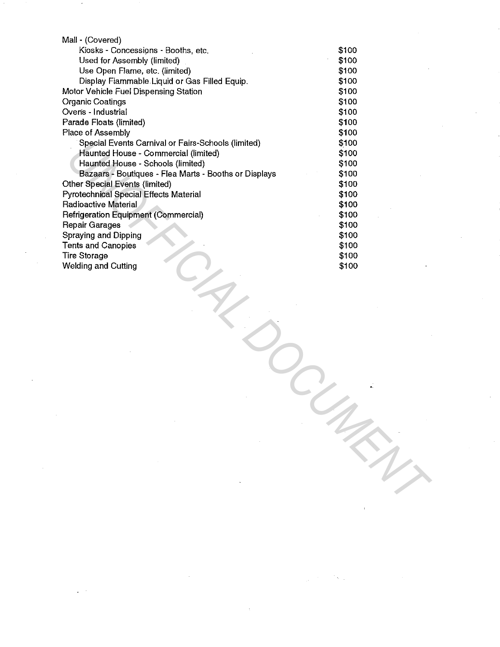| Mall - (Covered)                                      |       |  |
|-------------------------------------------------------|-------|--|
| Kiosks - Concessions - Booths, etc.                   | \$100 |  |
| Used for Assembly (limited)                           | \$100 |  |
| Use Open Flame, etc. (limited)                        | \$100 |  |
| Display Flammable Liquid or Gas Filled Equip.         | \$100 |  |
| Motor Vehicle Fuel Dispensing Station                 | \$100 |  |
| <b>Organic Coatings</b>                               | \$100 |  |
| Ovens - Industrial                                    | \$100 |  |
| Parade Floats (limited)                               | \$100 |  |
| Place of Assembly                                     | \$100 |  |
| Special Events Carnival or Fairs-Schools (limited)    | \$100 |  |
| Haunted House - Commercial (limited)                  | \$100 |  |
| Haunted House - Schools (limited)                     | \$100 |  |
| Bazaars - Boutiques - Flea Marts - Booths or Displays | \$100 |  |
| Other Special Events (limited)                        | \$100 |  |
| Pyrotechnical Special Effects Material                | \$100 |  |
| <b>Radioactive Material</b>                           | \$100 |  |
| Refrigeration Equipment (Commercial)                  | \$100 |  |
| <b>Repair Garages</b>                                 | \$100 |  |
| Spraying and Dipping                                  | \$100 |  |
| <b>Tents and Canopies</b>                             | \$100 |  |
| <b>Tire Storage</b>                                   | \$100 |  |
| <b>Welding and Cutting</b>                            | \$100 |  |
|                                                       |       |  |
|                                                       |       |  |
|                                                       |       |  |
|                                                       |       |  |
|                                                       |       |  |
|                                                       |       |  |
|                                                       |       |  |
|                                                       |       |  |
|                                                       |       |  |
|                                                       |       |  |
|                                                       |       |  |
|                                                       |       |  |
|                                                       |       |  |
|                                                       |       |  |
|                                                       |       |  |
|                                                       |       |  |
|                                                       |       |  |
|                                                       |       |  |
|                                                       |       |  |
|                                                       |       |  |
|                                                       |       |  |
|                                                       |       |  |
|                                                       |       |  |
|                                                       |       |  |

 $\sim$   $\sim$ 

 $\sim 10^{-10}$ 

Service C

 $\mathcal{F}^{\text{max}}_{\text{max}}$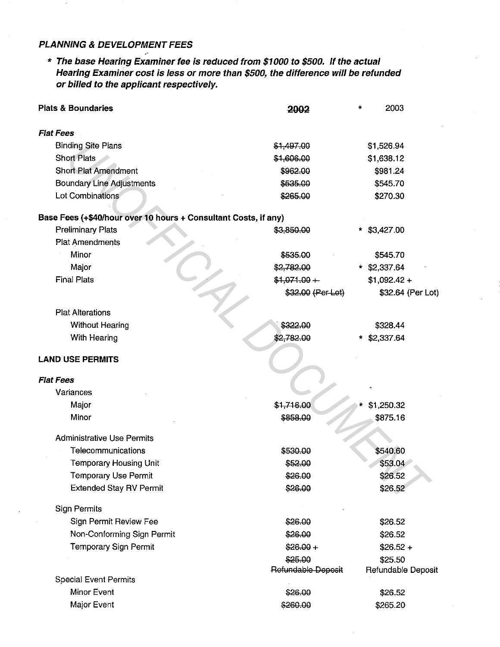## **PLANNING & DEVELOPMENT FEES**

\* **The base Hearing Examiner fee is reduced from \$1000 to \$500. If the actual Hearing Examiner cost is less or more than \$500, the difference will be refunded or billed to the applicant respectively.** 

| <b>Plats &amp; Boundaries</b>                                   | 2002               | ÷ | 2003               |
|-----------------------------------------------------------------|--------------------|---|--------------------|
| <b>Flat Fees</b>                                                |                    |   |                    |
| <b>Binding Site Plans</b>                                       | \$1,497.00         |   | \$1,526.94         |
| <b>Short Plats</b>                                              | \$1,606.00         |   | \$1,638.12         |
| Short Plat Amendment                                            | \$962.00           |   | \$981.24           |
| <b>Boundary Line Adjustments</b>                                | \$535.00           |   | \$545.70           |
| Lot Combinations                                                | \$265.00           |   | \$270.30           |
| Base Fees (+\$40/hour over 10 hours + Consultant Costs, if any) |                    |   |                    |
| <b>Preliminary Plats</b>                                        | \$3,850.00         |   | $*$ \$3,427.00     |
| <b>Plat Amendments</b>                                          |                    |   |                    |
| Minor                                                           | \$535.00           |   | \$545.70           |
| Major                                                           | \$2,782.00         |   | * \$2,337.64       |
| <b>Final Plats</b>                                              | $$1,071.00 +$      |   | $$1,092.42 +$      |
|                                                                 | \$32.00 (Per Lot)  |   | \$32.64 (Per Lot)  |
| <b>Plat Alterations</b>                                         |                    |   |                    |
| <b>Without Hearing</b>                                          | \$322.00           |   | \$328.44           |
| With Hearing                                                    | \$2,782.00         |   | $*$ \$2,337.64     |
| <b>LAND USE PERMITS</b>                                         |                    |   |                    |
| <b>Flat Fees</b>                                                |                    |   |                    |
| Variances                                                       |                    |   |                    |
| Major                                                           | \$1,716.00         |   | \$1,250.32         |
| Minor                                                           | \$858.00           |   | \$875.16           |
| <b>Administrative Use Permits</b>                               |                    |   |                    |
| Telecommunications                                              | \$530.00           |   | \$540.60           |
| <b>Temporary Housing Unit</b>                                   | \$52.00            |   | \$53.04            |
| <b>Temporary Use Permit</b>                                     | \$26.00            |   | \$26.52            |
| <b>Extended Stay RV Permit</b>                                  | \$26.00            |   | \$26.52            |
| <b>Sign Permits</b>                                             |                    |   |                    |
| Sign Permit Review Fee                                          | \$26.00            |   | \$26.52            |
| Non-Conforming Sign Permit                                      | \$26.00            |   | \$26.52            |
| Temporary Sign Permit                                           | $$26.00 +$         |   | $$26.52 +$         |
|                                                                 | \$25.00            |   | \$25.50            |
|                                                                 | Refundable Deposit |   | Refundable Deposit |
| <b>Special Event Permits</b><br>Minor Event                     | \$26.00            |   |                    |
| Major Event                                                     |                    |   | \$26.52            |
|                                                                 | \$260.00           |   | \$265.20           |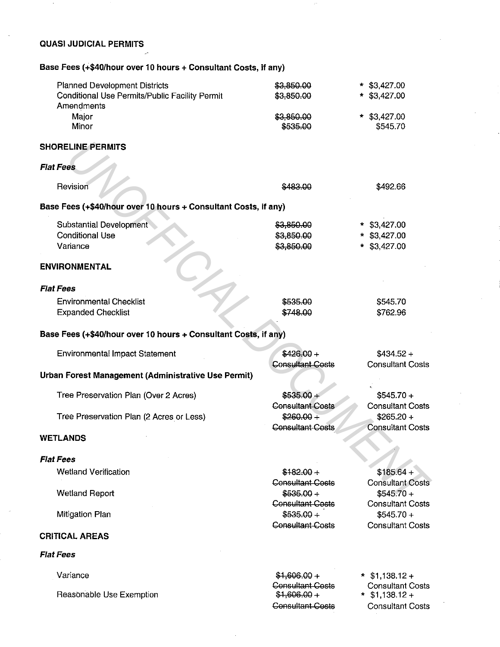#### **QUASI JUDICIAL PERMITS**   $\overline{\phantom{a}}$

Base Fees (+\$40/hour over 10 hours + Consultant Costs, if any)

| <b>Planned Development Districts</b>                            | \$3,850.00                             | $*$ \$3,427.00                         |
|-----------------------------------------------------------------|----------------------------------------|----------------------------------------|
| Conditional Use Permits/Public Facility Permit                  | \$3,850.00                             | $*$ \$3,427.00                         |
| Amendments                                                      |                                        |                                        |
| Major                                                           | \$3,850.00                             | $*$ \$3,427.00                         |
| Minor                                                           | \$535.00                               | \$545.70                               |
| <b>SHORELINE PERMITS</b>                                        |                                        |                                        |
| <b>Flat Fees</b>                                                |                                        |                                        |
| Revision                                                        | \$483,00                               | \$492.66                               |
| Base Fees (+\$40/hour over 10 hours + Consultant Costs, if any) |                                        |                                        |
| Substantial Development                                         | \$3,850.00                             | $*$ \$3,427.00                         |
| <b>Conditional Use</b>                                          | \$3,850.00                             | $*$ \$3,427.00                         |
| Variance                                                        | \$3,850.00                             | $*$ \$3,427.00                         |
| <b>ENVIRONMENTAL</b>                                            |                                        |                                        |
| <b>Flat Fees</b>                                                |                                        |                                        |
| <b>Environmental Checklist</b>                                  | \$535.00                               | \$545.70                               |
| <b>Expanded Checklist</b>                                       | \$748.00                               | \$762.96                               |
| Base Fees (+\$40/hour over 10 hours + Consultant Costs, if any) |                                        |                                        |
|                                                                 | $$426.00 +$                            | $$434.52 +$                            |
| Environmental Impact Statement                                  | <b>Consultant Costs</b>                | <b>Consultant Costs</b>                |
| Urban Forest Management (Administrative Use Permit)             |                                        |                                        |
| Tree Preservation Plan (Over 2 Acres)                           | $$535.00 +$                            | $$545.70 +$                            |
|                                                                 | <b>Consultant Costs</b>                | <b>Consultant Costs</b>                |
| Tree Preservation Plan (2 Acres or Less)                        | $$260.00 +$                            | $$265.20 +$                            |
|                                                                 | <b>Consultant Costs</b>                | <b>Consultant Costs</b>                |
| WETLANDS                                                        |                                        |                                        |
|                                                                 |                                        |                                        |
| <b>Flat Fees</b>                                                |                                        |                                        |
| <b>Wetland Verification</b>                                     | $$182.00 +$                            | $$185.64 +$                            |
|                                                                 | <b>Consultant Costs</b>                | <b>Consultant Costs</b>                |
| <b>Wetland Report</b>                                           | $$535.00 +$<br><b>Consultant Costs</b> | $$545.70 +$<br><b>Consultant Costs</b> |
| <b>Mitigation Plan</b>                                          | $$535.00 +$                            | $$545.70 +$                            |
|                                                                 | <b>Consultant Costs</b>                | <b>Consultant Costs</b>                |
| <b>CRITICAL AREAS</b>                                           |                                        |                                        |
| Flat Fees                                                       |                                        |                                        |
| Variance                                                        | $$1,606.00 +$                          | $*$ \$1,138.12 +                       |
|                                                                 | <b>Consultant Costs</b>                | <b>Consultant Costs</b>                |
| Reasonable Use Exemption                                        | $$1,606.00 +$                          | $*$ \$1,138.12 +                       |
|                                                                 | <b>Consultant Costs</b>                | <b>Consultant Costs</b>                |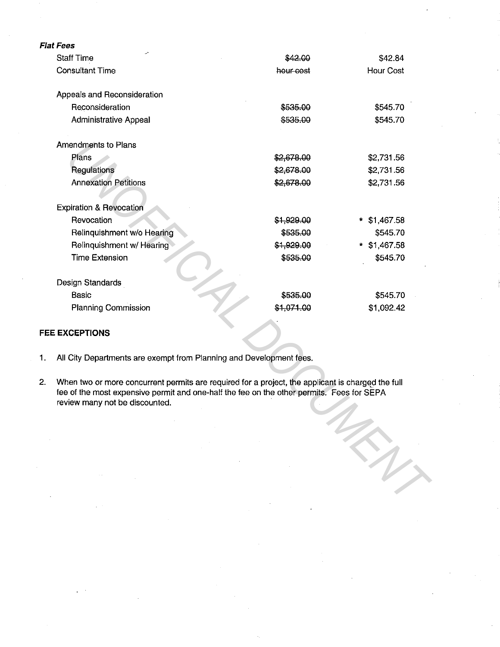|    | Flat Fees                                                                                                                                                                                                                        |            |                |  |  |  |
|----|----------------------------------------------------------------------------------------------------------------------------------------------------------------------------------------------------------------------------------|------------|----------------|--|--|--|
|    | <b>Staff Time</b>                                                                                                                                                                                                                | \$42,00    | \$42.84        |  |  |  |
|    | <b>Consultant Time</b>                                                                                                                                                                                                           | hour-cost  | Hour Cost      |  |  |  |
|    | Appeals and Reconsideration                                                                                                                                                                                                      |            |                |  |  |  |
|    | Reconsideration                                                                                                                                                                                                                  | \$535.00   | \$545.70       |  |  |  |
|    | <b>Administrative Appeal</b>                                                                                                                                                                                                     | \$535.00   | \$545.70       |  |  |  |
|    | Amendments to Plans                                                                                                                                                                                                              |            |                |  |  |  |
|    | Plans                                                                                                                                                                                                                            | \$2,678.00 | \$2,731.56     |  |  |  |
|    | Regulations                                                                                                                                                                                                                      | \$2,678.00 | \$2,731.56     |  |  |  |
|    | <b>Annexation Petitions</b>                                                                                                                                                                                                      | \$2,678.00 | \$2,731.56     |  |  |  |
|    | <b>Expiration &amp; Revocation</b>                                                                                                                                                                                               |            |                |  |  |  |
|    | Revocation                                                                                                                                                                                                                       | \$1,929.00 | $*$ \$1,467.58 |  |  |  |
|    | Relinquishment w/o Hearing                                                                                                                                                                                                       | \$535.00   | \$545.70       |  |  |  |
|    | Relinquishment w/ Hearing                                                                                                                                                                                                        | \$1,929.00 | * \$1,467.58   |  |  |  |
|    | <b>Time Extension</b>                                                                                                                                                                                                            | \$535.00   | \$545.70       |  |  |  |
|    | Design Standards                                                                                                                                                                                                                 |            |                |  |  |  |
|    | <b>Basic</b>                                                                                                                                                                                                                     | \$535.00   | \$545.70       |  |  |  |
|    | <b>Planning Commission</b>                                                                                                                                                                                                       | \$1,071.00 | \$1,092.42     |  |  |  |
|    | <b>FEE EXCEPTIONS</b>                                                                                                                                                                                                            |            |                |  |  |  |
| 1. | All City Departments are exempt from Planning and Development fees.                                                                                                                                                              |            |                |  |  |  |
| 2. | When two or more concurrent permits are required for a project, the applicant is charged the full<br>fee of the most expensive permit and one-half the fee on the other permits. Fees for SEPA<br>review many not be discounted. |            |                |  |  |  |
|    |                                                                                                                                                                                                                                  |            |                |  |  |  |
|    |                                                                                                                                                                                                                                  |            |                |  |  |  |
|    |                                                                                                                                                                                                                                  |            |                |  |  |  |
|    |                                                                                                                                                                                                                                  |            |                |  |  |  |
|    |                                                                                                                                                                                                                                  |            |                |  |  |  |
|    |                                                                                                                                                                                                                                  |            |                |  |  |  |
|    |                                                                                                                                                                                                                                  |            |                |  |  |  |

### **FEE EXCEPTIONS**

- 1. All City Departments are exempt from Planning and Development fees.
- 2. When two or more concurrent permits are required for a project, the applicant is charged the full fee of the most expensive permit and one-half the fee on the other permits. Fees for SEPA review many not be discounted.